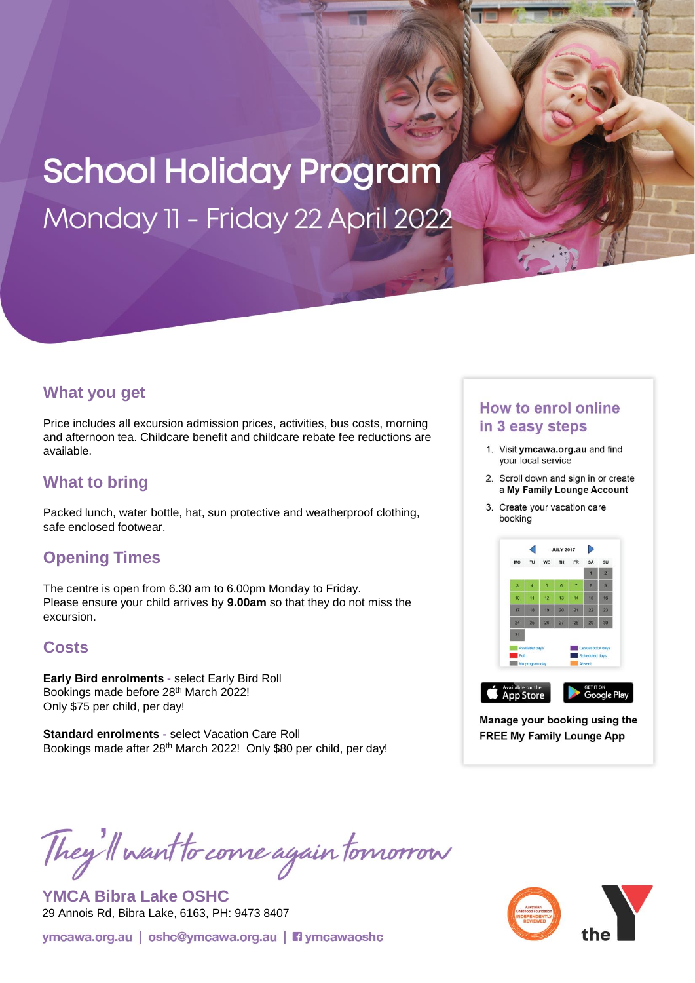# **School Holiday Program** Monday 11 - Friday 22 April 2022

#### **What you get**

Price includes all excursion admission prices, activities, bus costs, morning and afternoon tea. Childcare benefit and childcare rebate fee reductions are available.

## **What to bring**

Packed lunch, water bottle, hat, sun protective and weatherproof clothing, safe enclosed footwear.

## **Opening Times**

The centre is open from 6.30 am to 6.00pm Monday to Friday. Please ensure your child arrives by **9.00am** so that they do not miss the excursion.

## **Costs**

**Early Bird enrolments -** select Early Bird Roll Bookings made before 28th March 2022! Only \$75 per child, per day!

**Standard enrolments -** select Vacation Care Roll Bookings made after 28<sup>th</sup> March 2022! Only \$80 per child, per day!

#### **How to enrol online** in 3 easy steps

- 1. Visit ymcawa.org.au and find your local service
- 2. Scroll down and sign in or create a My Family Lounge Account
- 3. Create your vacation care booking



Manage your booking using the **FREE My Family Lounge App** 

They'll want to come again tomorrow

**YMCA Bibra Lake OSHC**  29 Annois Rd, Bibra Lake, 6163, PH: 9473 8407

ymcawa.org.au | oshc@ymcawa.org.au | **Fi** ymcawaoshc